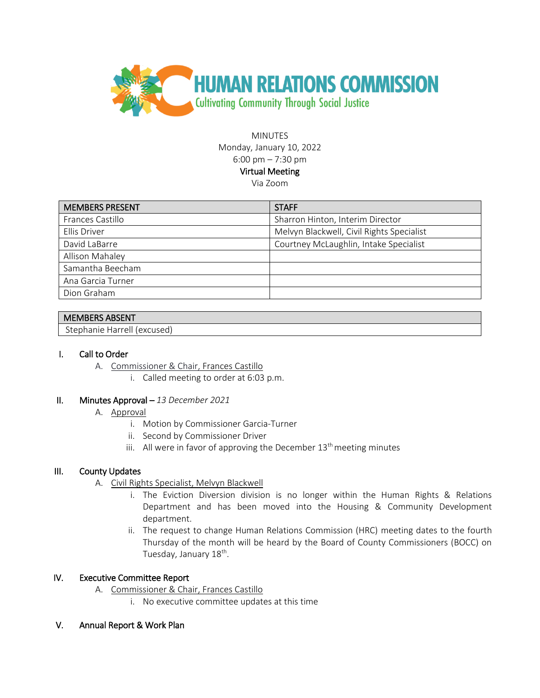

**MINUTES** Monday, January 10, 2022 6:00 pm – 7:30 pm Virtual Meeting Via Zoom

| <b>MEMBERS PRESENT</b> | <b>STAFF</b>                              |
|------------------------|-------------------------------------------|
| Frances Castillo       | Sharron Hinton, Interim Director          |
| Ellis Driver           | Melvyn Blackwell, Civil Rights Specialist |
| David LaBarre          | Courtney McLaughlin, Intake Specialist    |
| Allison Mahaley        |                                           |
| Samantha Beecham       |                                           |
| Ana Garcia Turner      |                                           |
| Dion Graham            |                                           |

# MEMBERS ABSENT

Stephanie Harrell (excused)

### I. Call to Order

- A. Commissioner & Chair, Frances Castillo
	- i. Called meeting to order at 6:03 p.m.

### II. Minutes Approval – *13 December 2021*

### A. Approval

- i. Motion by Commissioner Garcia-Turner
- ii. Second by Commissioner Driver
- iii. All were in favor of approving the December  $13<sup>th</sup>$  meeting minutes

### III. County Updates

- A. Civil Rights Specialist, Melvyn Blackwell
	- i. The Eviction Diversion division is no longer within the Human Rights & Relations Department and has been moved into the Housing & Community Development department.
	- ii. The request to change Human Relations Commission (HRC) meeting dates to the fourth Thursday of the month will be heard by the Board of County Commissioners (BOCC) on Tuesday, January 18<sup>th</sup>.

### IV. Executive Committee Report

- A. Commissioner & Chair, Frances Castillo
	- i. No executive committee updates at this time
- V. Annual Report & Work Plan